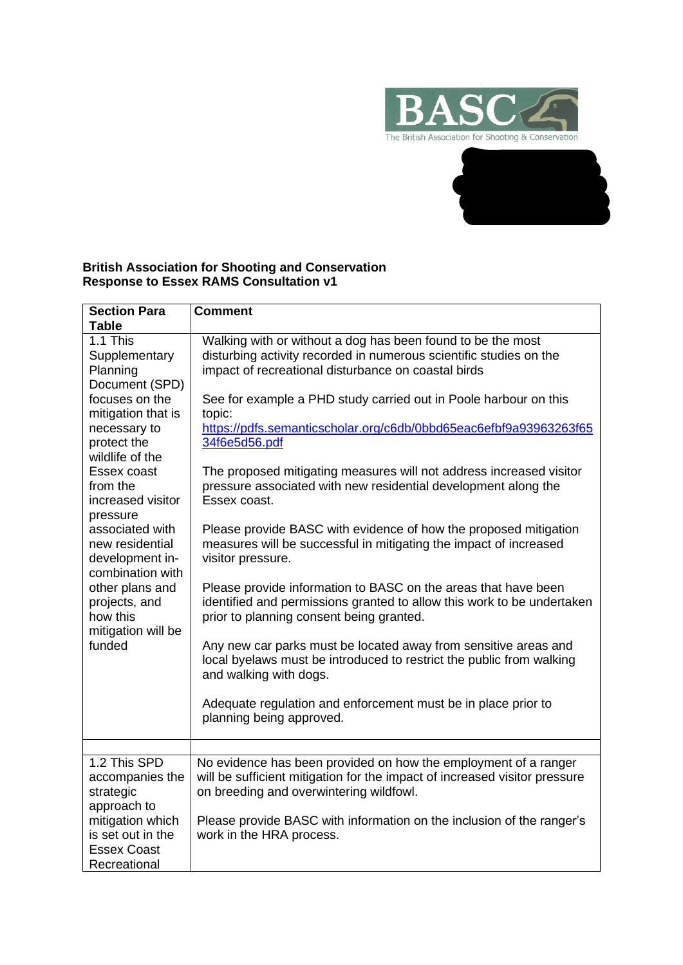



## **British Association for Shooting and Conservation Response to Essex RAMS Consultation v1**

| <b>Section Para</b>                                                                                                                                                                                                                                                                                                                                                                        | <b>Comment</b>                                                                                                                                                                                                                                                                                                                                                                                                                                                                                                                                                                                                                                                                                                                                                                                                                                                                                                                                                                                                                                                                                                                                |
|--------------------------------------------------------------------------------------------------------------------------------------------------------------------------------------------------------------------------------------------------------------------------------------------------------------------------------------------------------------------------------------------|-----------------------------------------------------------------------------------------------------------------------------------------------------------------------------------------------------------------------------------------------------------------------------------------------------------------------------------------------------------------------------------------------------------------------------------------------------------------------------------------------------------------------------------------------------------------------------------------------------------------------------------------------------------------------------------------------------------------------------------------------------------------------------------------------------------------------------------------------------------------------------------------------------------------------------------------------------------------------------------------------------------------------------------------------------------------------------------------------------------------------------------------------|
|                                                                                                                                                                                                                                                                                                                                                                                            |                                                                                                                                                                                                                                                                                                                                                                                                                                                                                                                                                                                                                                                                                                                                                                                                                                                                                                                                                                                                                                                                                                                                               |
| <b>Table</b><br>1.1 This<br>Supplementary<br>Planning<br>Document (SPD)<br>focuses on the<br>mitigation that is<br>necessary to<br>protect the<br>wildlife of the<br>Essex coast<br>from the<br>increased visitor<br>pressure<br>associated with<br>new residential<br>development in-<br>combination with<br>other plans and<br>projects, and<br>how this<br>mitigation will be<br>funded | Walking with or without a dog has been found to be the most<br>disturbing activity recorded in numerous scientific studies on the<br>impact of recreational disturbance on coastal birds<br>See for example a PHD study carried out in Poole harbour on this<br>topic:<br>https://pdfs.semanticscholar.org/c6db/0bbd65eac6efbf9a93963263f65<br>34f6e5d56.pdf<br>The proposed mitigating measures will not address increased visitor<br>pressure associated with new residential development along the<br>Essex coast.<br>Please provide BASC with evidence of how the proposed mitigation<br>measures will be successful in mitigating the impact of increased<br>visitor pressure.<br>Please provide information to BASC on the areas that have been<br>identified and permissions granted to allow this work to be undertaken<br>prior to planning consent being granted.<br>Any new car parks must be located away from sensitive areas and<br>local byelaws must be introduced to restrict the public from walking<br>and walking with dogs.<br>Adequate regulation and enforcement must be in place prior to<br>planning being approved. |
|                                                                                                                                                                                                                                                                                                                                                                                            |                                                                                                                                                                                                                                                                                                                                                                                                                                                                                                                                                                                                                                                                                                                                                                                                                                                                                                                                                                                                                                                                                                                                               |
| 1.2 This SPD<br>accompanies the<br>strategic<br>approach to<br>mitigation which<br>is set out in the<br><b>Essex Coast</b><br>Recreational                                                                                                                                                                                                                                                 | No evidence has been provided on how the employment of a ranger<br>will be sufficient mitigation for the impact of increased visitor pressure<br>on breeding and overwintering wildfowl.<br>Please provide BASC with information on the inclusion of the ranger's<br>work in the HRA process.                                                                                                                                                                                                                                                                                                                                                                                                                                                                                                                                                                                                                                                                                                                                                                                                                                                 |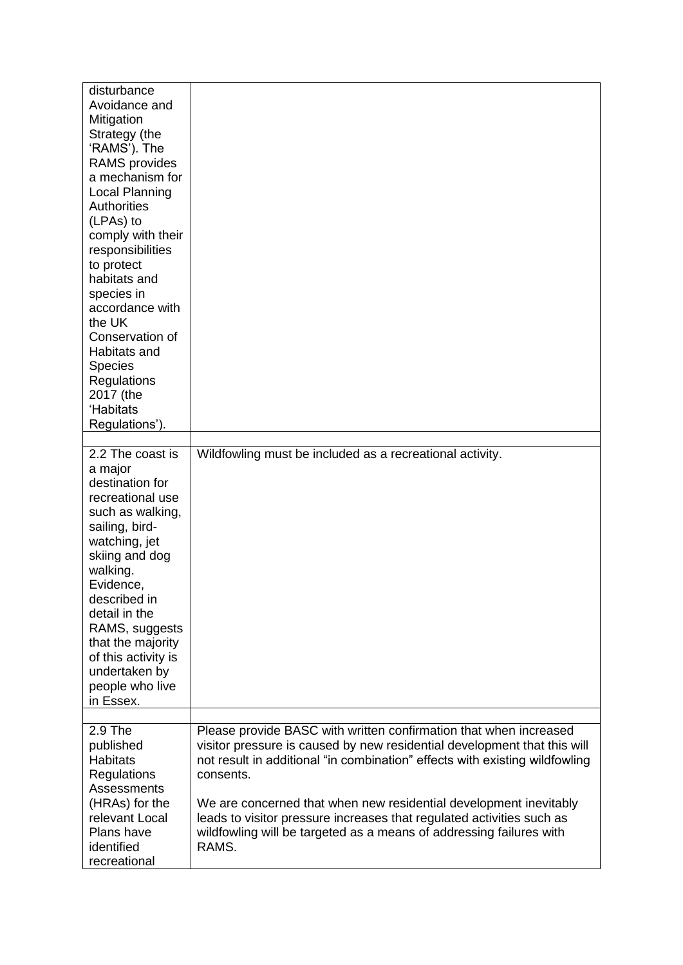| disturbance<br>Avoidance and<br>Mitigation<br>Strategy (the<br>'RAMS'). The<br>RAMS provides<br>a mechanism for<br><b>Local Planning</b><br><b>Authorities</b><br>(LPAs) to<br>comply with their<br>responsibilities<br>to protect<br>habitats and<br>species in<br>accordance with<br>the UK<br>Conservation of<br>Habitats and<br><b>Species</b><br>Regulations<br>2017 (the<br>'Habitats<br>Regulations'). |                                                                                                                                               |
|---------------------------------------------------------------------------------------------------------------------------------------------------------------------------------------------------------------------------------------------------------------------------------------------------------------------------------------------------------------------------------------------------------------|-----------------------------------------------------------------------------------------------------------------------------------------------|
| 2.2 The coast is                                                                                                                                                                                                                                                                                                                                                                                              | Wildfowling must be included as a recreational activity.                                                                                      |
| a major<br>destination for<br>recreational use<br>such as walking,<br>sailing, bird-<br>watching, jet<br>skiing and dog<br>walking.<br>Evidence,<br>described in<br>detail in the<br>RAMS, suggests<br>that the majority<br>of this activity is<br>undertaken by<br>people who live<br>in Essex.                                                                                                              |                                                                                                                                               |
| 2.9 The<br>published                                                                                                                                                                                                                                                                                                                                                                                          | Please provide BASC with written confirmation that when increased<br>visitor pressure is caused by new residential development that this will |
| <b>Habitats</b>                                                                                                                                                                                                                                                                                                                                                                                               | not result in additional "in combination" effects with existing wildfowling                                                                   |
| Regulations<br>Assessments                                                                                                                                                                                                                                                                                                                                                                                    | consents.                                                                                                                                     |
| (HRAs) for the                                                                                                                                                                                                                                                                                                                                                                                                | We are concerned that when new residential development inevitably                                                                             |
| relevant Local                                                                                                                                                                                                                                                                                                                                                                                                | leads to visitor pressure increases that regulated activities such as                                                                         |
| Plans have<br>identified                                                                                                                                                                                                                                                                                                                                                                                      | wildfowling will be targeted as a means of addressing failures with<br>RAMS.                                                                  |
| recreational                                                                                                                                                                                                                                                                                                                                                                                                  |                                                                                                                                               |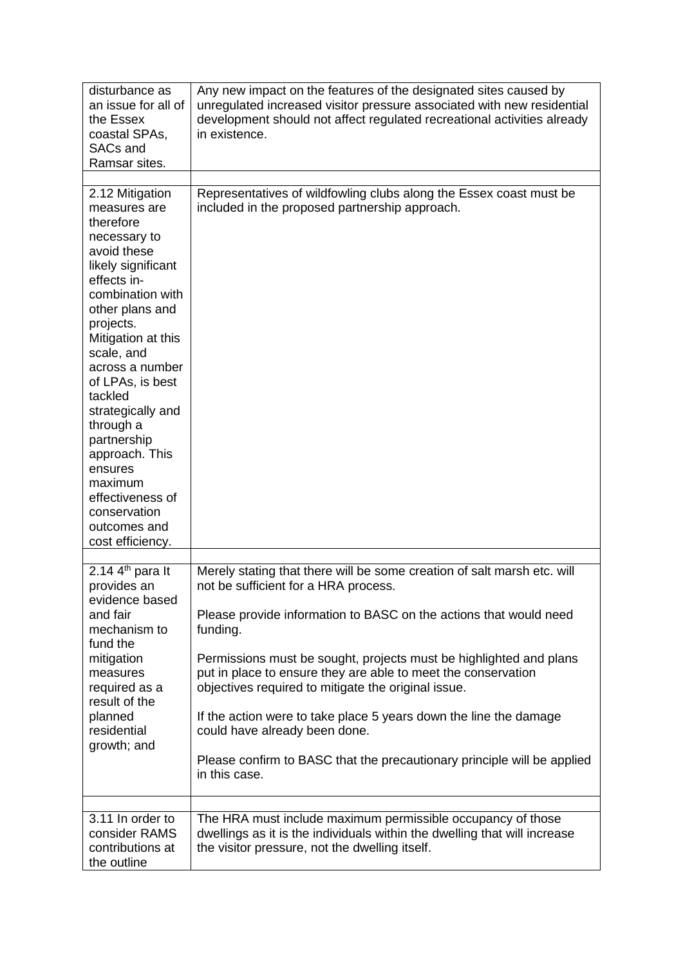| disturbance as<br>an issue for all of<br>the Essex<br>coastal SPAs,<br><b>SACs and</b><br>Ramsar sites.                                                                                                                                                                                                                                                                                                                     | Any new impact on the features of the designated sites caused by<br>unregulated increased visitor pressure associated with new residential<br>development should not affect regulated recreational activities already<br>in existence. |
|-----------------------------------------------------------------------------------------------------------------------------------------------------------------------------------------------------------------------------------------------------------------------------------------------------------------------------------------------------------------------------------------------------------------------------|----------------------------------------------------------------------------------------------------------------------------------------------------------------------------------------------------------------------------------------|
|                                                                                                                                                                                                                                                                                                                                                                                                                             |                                                                                                                                                                                                                                        |
| 2.12 Mitigation<br>measures are<br>therefore<br>necessary to<br>avoid these<br>likely significant<br>effects in-<br>combination with<br>other plans and<br>projects.<br>Mitigation at this<br>scale, and<br>across a number<br>of LPAs, is best<br>tackled<br>strategically and<br>through a<br>partnership<br>approach. This<br>ensures<br>maximum<br>effectiveness of<br>conservation<br>outcomes and<br>cost efficiency. | Representatives of wildfowling clubs along the Essex coast must be<br>included in the proposed partnership approach.                                                                                                                   |
| 2.14 $4th$ para It                                                                                                                                                                                                                                                                                                                                                                                                          | Merely stating that there will be some creation of salt marsh etc. will                                                                                                                                                                |
| provides an<br>evidence based                                                                                                                                                                                                                                                                                                                                                                                               | not be sufficient for a HRA process.                                                                                                                                                                                                   |
| and fair<br>mechanism to<br>fund the<br>mitigation<br>measures<br>required as a<br>result of the<br>planned<br>residential<br>growth; and                                                                                                                                                                                                                                                                                   | Please provide information to BASC on the actions that would need<br>funding.                                                                                                                                                          |
|                                                                                                                                                                                                                                                                                                                                                                                                                             | Permissions must be sought, projects must be highlighted and plans<br>put in place to ensure they are able to meet the conservation<br>objectives required to mitigate the original issue.                                             |
|                                                                                                                                                                                                                                                                                                                                                                                                                             | If the action were to take place 5 years down the line the damage<br>could have already been done.                                                                                                                                     |
|                                                                                                                                                                                                                                                                                                                                                                                                                             | Please confirm to BASC that the precautionary principle will be applied<br>in this case.                                                                                                                                               |
|                                                                                                                                                                                                                                                                                                                                                                                                                             |                                                                                                                                                                                                                                        |
| 3.11 In order to<br>consider RAMS<br>contributions at<br>the outline                                                                                                                                                                                                                                                                                                                                                        | The HRA must include maximum permissible occupancy of those<br>dwellings as it is the individuals within the dwelling that will increase<br>the visitor pressure, not the dwelling itself.                                             |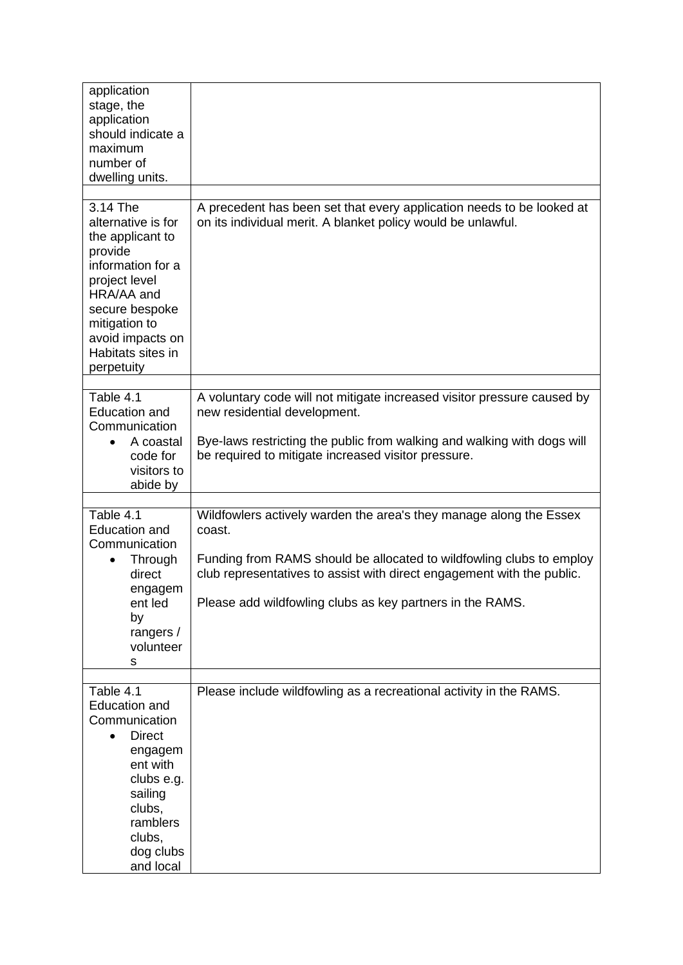| application<br>stage, the<br>application<br>should indicate a<br>maximum<br>number of<br>dwelling units.                                                                                                    |                                                                                                                                                                                                                                                                                             |
|-------------------------------------------------------------------------------------------------------------------------------------------------------------------------------------------------------------|---------------------------------------------------------------------------------------------------------------------------------------------------------------------------------------------------------------------------------------------------------------------------------------------|
| 3.14 The<br>alternative is for<br>the applicant to<br>provide<br>information for a<br>project level<br>HRA/AA and<br>secure bespoke<br>mitigation to<br>avoid impacts on<br>Habitats sites in<br>perpetuity | A precedent has been set that every application needs to be looked at<br>on its individual merit. A blanket policy would be unlawful.                                                                                                                                                       |
| Table 4.1<br><b>Education and</b><br>Communication<br>A coastal<br>code for<br>visitors to<br>abide by                                                                                                      | A voluntary code will not mitigate increased visitor pressure caused by<br>new residential development.<br>Bye-laws restricting the public from walking and walking with dogs will<br>be required to mitigate increased visitor pressure.                                                   |
| Table 4.1<br><b>Education and</b><br>Communication<br>Through<br>direct<br>engagem<br>ent led<br>by<br>rangers /<br>volunteer<br>s                                                                          | Wildfowlers actively warden the area's they manage along the Essex<br>coast.<br>Funding from RAMS should be allocated to wildfowling clubs to employ<br>club representatives to assist with direct engagement with the public.<br>Please add wildfowling clubs as key partners in the RAMS. |
| Table 4.1<br><b>Education and</b><br>Communication<br><b>Direct</b><br>$\bullet$<br>engagem<br>ent with<br>clubs e.g.<br>sailing<br>clubs,<br>ramblers<br>clubs,<br>dog clubs<br>and local                  | Please include wildfowling as a recreational activity in the RAMS.                                                                                                                                                                                                                          |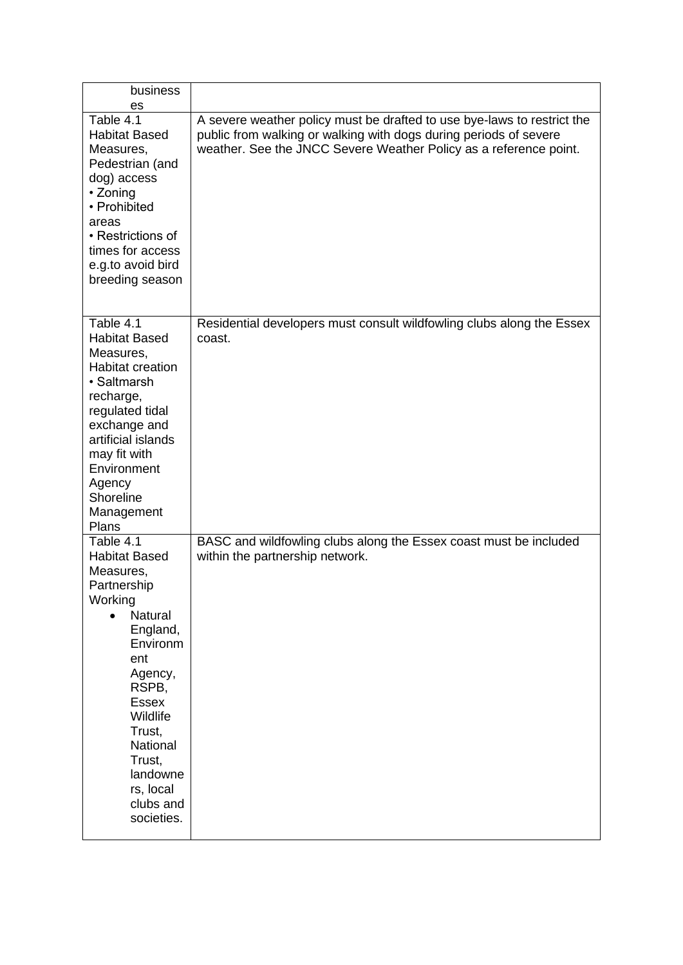| business<br>es                                                                                                                                                                                                                                                             |                                                                                                                                                                                                                   |
|----------------------------------------------------------------------------------------------------------------------------------------------------------------------------------------------------------------------------------------------------------------------------|-------------------------------------------------------------------------------------------------------------------------------------------------------------------------------------------------------------------|
| Table 4.1<br><b>Habitat Based</b><br>Measures,<br>Pedestrian (and<br>dog) access<br>• Zoning<br>• Prohibited<br>areas<br>• Restrictions of<br>times for access<br>e.g.to avoid bird<br>breeding season                                                                     | A severe weather policy must be drafted to use bye-laws to restrict the<br>public from walking or walking with dogs during periods of severe<br>weather. See the JNCC Severe Weather Policy as a reference point. |
| Table 4.1<br><b>Habitat Based</b><br>Measures,<br><b>Habitat creation</b><br>• Saltmarsh<br>recharge,<br>regulated tidal<br>exchange and<br>artificial islands<br>may fit with<br>Environment<br>Agency<br>Shoreline<br>Management<br>Plans                                | Residential developers must consult wildfowling clubs along the Essex<br>coast.                                                                                                                                   |
| Table 4.1<br><b>Habitat Based</b><br>Measures,<br>Partnership<br>Working<br><b>Natural</b><br>$\bullet$<br>England,<br>Environm<br>ent<br>Agency,<br>RSPB,<br><b>Essex</b><br>Wildlife<br>Trust,<br>National<br>Trust,<br>landowne<br>rs, local<br>clubs and<br>societies. | BASC and wildfowling clubs along the Essex coast must be included<br>within the partnership network.                                                                                                              |